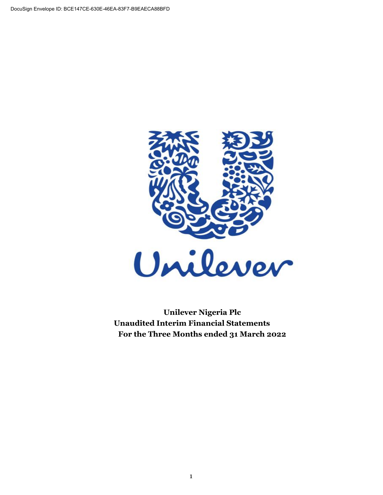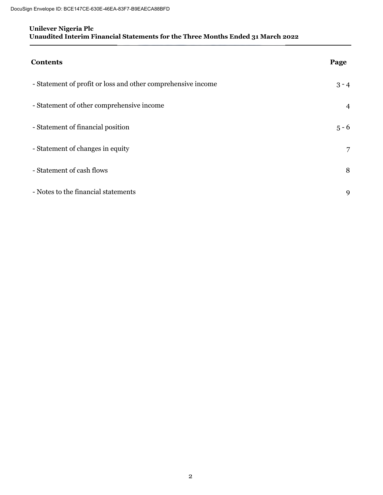| <b>Contents</b>                                              | Page           |
|--------------------------------------------------------------|----------------|
| - Statement of profit or loss and other comprehensive income | $3 - 4$        |
| - Statement of other comprehensive income                    | $\overline{4}$ |
| - Statement of financial position                            | $5 - 6$        |
| - Statement of changes in equity                             | 7              |
| - Statement of cash flows                                    | 8              |
| - Notes to the financial statements                          | 9              |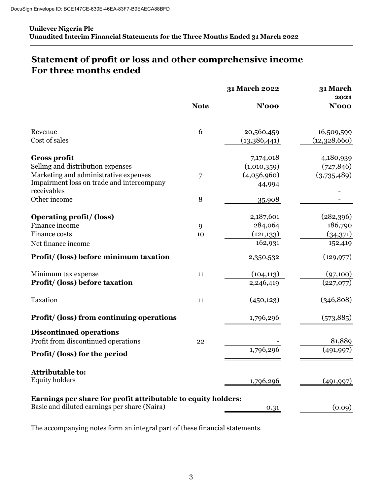# **Statement of profit or loss and other comprehensive income For three months ended**

|                                                               |             | 31 March 2022 | 31 March<br>2021 |  |  |
|---------------------------------------------------------------|-------------|---------------|------------------|--|--|
|                                                               | <b>Note</b> | <b>N'000</b>  | $N'$ 000         |  |  |
| Revenue                                                       | 6           | 20,560,459    | 16,509,599       |  |  |
| Cost of sales                                                 |             | (13,386,441)  | (12,328,660)     |  |  |
| <b>Gross profit</b>                                           |             | 7,174,018     | 4,180,939        |  |  |
| Selling and distribution expenses                             |             | (1,010,359)   | (727, 846)       |  |  |
| Marketing and administrative expenses                         | 7           | (4,056,960)   | (3,735,489)      |  |  |
| Impairment loss on trade and intercompany<br>receivables      |             | 44,994        |                  |  |  |
| Other income                                                  | 8           | 35,908        |                  |  |  |
| Operating profit/ (loss)                                      |             | 2,187,601     | (282,396)        |  |  |
| Finance income                                                | 9           | 284,064       | 186,790          |  |  |
| Finance costs                                                 | 10          | (121, 133)    | (34,371)         |  |  |
| Net finance income                                            |             | 162,931       | 152,419          |  |  |
| Profit/ (loss) before minimum taxation                        |             | 2,350,532     | (129, 977)       |  |  |
| Minimum tax expense                                           | 11          | (104, 113)    | (97,100)         |  |  |
| Profit/ (loss) before taxation                                |             | 2,246,419     | (227,077)        |  |  |
| Taxation                                                      | 11          | (450, 123)    | (346, 808)       |  |  |
| <b>Profit/ (loss) from continuing operations</b>              |             | 1,796,296     | (573, 885)       |  |  |
| <b>Discontinued operations</b>                                |             |               |                  |  |  |
| Profit from discontinued operations                           | 22          |               | 81,889           |  |  |
| Profit/ (loss) for the period                                 |             | 1,796,296     | (491, 997)       |  |  |
| <b>Attributable to:</b>                                       |             |               |                  |  |  |
| <b>Equity holders</b>                                         |             | 1,796,296     | (491, 997)       |  |  |
| Earnings per share for profit attributable to equity holders: |             |               |                  |  |  |
| Basic and diluted earnings per share (Naira)                  |             | 0.31          | (0.09)           |  |  |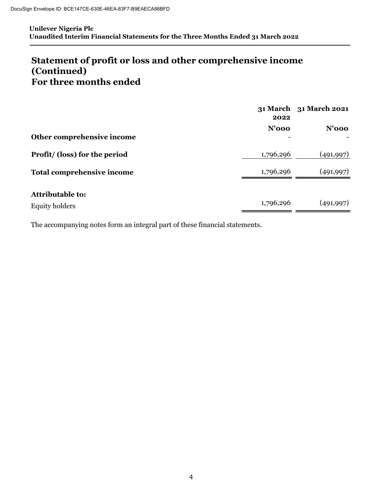# **For three months ended Statement of profit or loss and other comprehensive income (Continued)**

|                                   | 2022      | 31 March 31 March 2021 |
|-----------------------------------|-----------|------------------------|
|                                   | $N'$ 000  | $N'$ 000               |
| Other comprehensive income        |           |                        |
| Profit/ (loss) for the period     | 1,796,296 | (491,997)              |
| <b>Total comprehensive income</b> | 1,796,296 | (491,997)              |
| <b>Attributable to:</b>           |           |                        |
| <b>Equity holders</b>             | 1,796,296 | (491,997)              |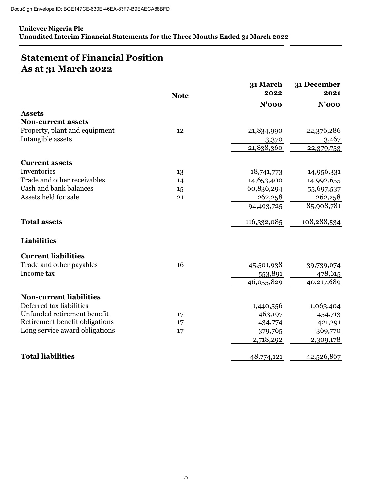# **Statement of Financial Position As at 31 March 2022**

|                                | <b>Note</b> | 31 March<br>2022 | 31 December<br>2021 |
|--------------------------------|-------------|------------------|---------------------|
|                                |             | $N'$ 000         | $N'$ 000            |
| <b>Assets</b>                  |             |                  |                     |
| <b>Non-current assets</b>      |             |                  |                     |
| Property, plant and equipment  | 12          | 21,834,990       | 22,376,286          |
| Intangible assets              |             | 3,370            | 3,467               |
|                                |             | 21,838,360       | 22,379,753          |
| <b>Current assets</b>          |             |                  |                     |
| Inventories                    | 13          | 18,741,773       | 14,956,331          |
| Trade and other receivables    | 14          | 14,653,400       | 14,992,655          |
| Cash and bank balances         | 15          | 60,836,294       | 55,697,537          |
| Assets held for sale           | 21          | 262,258          | 262,258             |
|                                |             | 94,493,725       | 85,908,781          |
| <b>Total assets</b>            |             | 116,332,085      | 108,288,534         |
| <b>Liabilities</b>             |             |                  |                     |
| <b>Current liabilities</b>     |             |                  |                     |
| Trade and other payables       | 16          | 45,501,938       | 39,739,074          |
| Income tax                     |             | 553,891          | 478,615             |
|                                |             | 46,055,829       | 40,217,689          |
| <b>Non-current liabilities</b> |             |                  |                     |
| Deferred tax liabilities       |             | 1,440,556        | 1,063,404           |
| Unfunded retirement benefit    | 17          | 463,197          | 454,713             |
| Retirement benefit obligations | 17          | 434,774          | 421,291             |
| Long service award obligations | 17          | 379,765          | 369,770             |
|                                |             | 2,718,292        | 2,309,178           |
| <b>Total liabilities</b>       |             | 48,774,121       | 42,526,867          |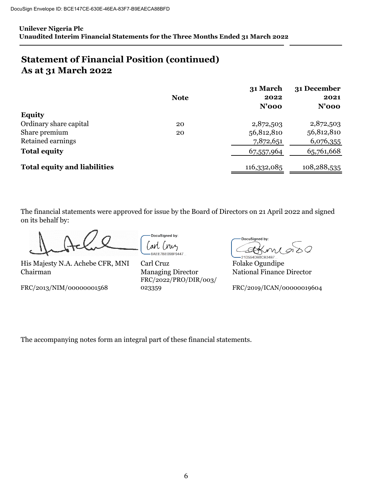# **Statement of Financial Position (continued) As at 31 March 2022**

|                                     | <b>Note</b> | 31 March<br>2022 | 31 December<br>2021 |
|-------------------------------------|-------------|------------------|---------------------|
|                                     |             | $N'$ 000         | $N'$ 000            |
| <b>Equity</b>                       |             |                  |                     |
| Ordinary share capital              | 20          | 2,872,503        | 2,872,503           |
| Share premium                       | 20          | 56,812,810       | 56,812,810          |
| Retained earnings                   |             | 7,872,651        | 6,076,355           |
| <b>Total equity</b>                 |             | 67,557,964       | 65,761,668          |
| <b>Total equity and liabilities</b> |             | 116,332,085      | 108,288,535         |

The financial statements were approved for issue by the Board of Directors on 21 April 2022 and signed on its behalf by:

His Majesty N.A. Achebe CFR, MNI Carl Cruz Folake Ogundipe Chairman Managing Director National Finance Director

FRC/2013/NIM/00000001568

DocuSigned by: arl (nuz 8AEE7BE098F9447...

FRC/2022/PRO/DIR/003/ Carl Cruz

DocuSigned by: A sО

21D554DB8CB34B7.

023359 FRC/2019/ICAN/00000019604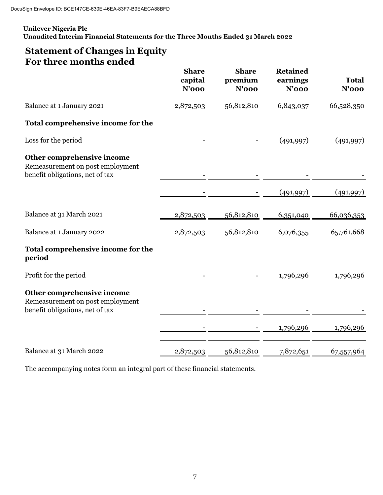# **Statement of Changes in Equity For three months ended**

|                                                                                                   | <b>Share</b><br>capital<br>$N'$ 000 | <b>Share</b><br>premium<br>$N'$ 000 | <b>Retained</b><br>earnings<br>$N'$ 000 | <b>Total</b><br>$N'$ 000 |
|---------------------------------------------------------------------------------------------------|-------------------------------------|-------------------------------------|-----------------------------------------|--------------------------|
| Balance at 1 January 2021                                                                         | 2,872,503                           | 56,812,810                          | 6,843,037                               | 66,528,350               |
| Total comprehensive income for the                                                                |                                     |                                     |                                         |                          |
| Loss for the period                                                                               |                                     |                                     | (491, 997)                              | (491, 997)               |
| Other comprehensive income<br>Remeasurement on post employment<br>benefit obligations, net of tax |                                     |                                     |                                         |                          |
|                                                                                                   |                                     |                                     | (491, 997)                              | (491, 997)               |
| Balance at 31 March 2021                                                                          | 2,872,503                           | 56,812,810                          | 6,351,040                               | 66,036,353               |
| Balance at 1 January 2022                                                                         | 2,872,503                           | 56,812,810                          | 6,076,355                               | 65,761,668               |
| Total comprehensive income for the<br>period                                                      |                                     |                                     |                                         |                          |
| Profit for the period                                                                             |                                     |                                     | 1,796,296                               | 1,796,296                |
| Other comprehensive income<br>Remeasurement on post employment<br>benefit obligations, net of tax |                                     |                                     |                                         |                          |
|                                                                                                   |                                     |                                     | 1,796,296                               | 1,796,296                |
| Balance at 31 March 2022                                                                          | 2,872,503                           | 56,812,810                          | 7,872,651                               | 67,557,964               |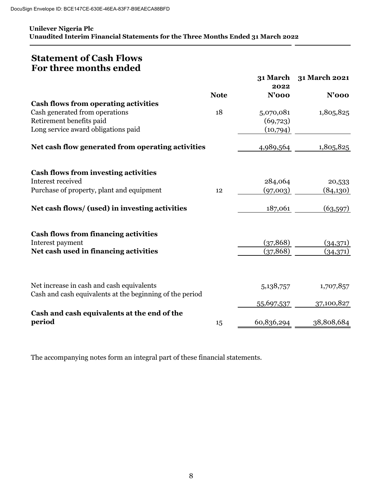# **Statement of Cash Flows For three months ended**

|                                                          | <b>Note</b> | 31 March<br>2022<br><b>N'000</b> | 31 March 2021<br>$N'$ 000 |
|----------------------------------------------------------|-------------|----------------------------------|---------------------------|
| <b>Cash flows from operating activities</b>              |             |                                  |                           |
| Cash generated from operations                           | 18          | 5,070,081                        | 1,805,825                 |
| Retirement benefits paid                                 |             | (69,723)                         |                           |
| Long service award obligations paid                      |             | (10,794)                         |                           |
| Net cash flow generated from operating activities        |             | 4,989,564                        | 1,805,825                 |
| <b>Cash flows from investing activities</b>              |             |                                  |                           |
| Interest received                                        |             | 284,064                          | 20,533                    |
| Purchase of property, plant and equipment                | 12          | (97,003)                         | (84,130)                  |
| Net cash flows/ (used) in investing activities           |             | 187,061                          | (63, 597)                 |
| <b>Cash flows from financing activities</b>              |             |                                  |                           |
| Interest payment                                         |             | (37, 868)                        | (34,371)                  |
| Net cash used in financing activities                    |             | (37, 868)                        | (34,371)                  |
| Net increase in cash and cash equivalents                |             | 5,138,757                        | 1,707,857                 |
| Cash and cash equivalents at the beginning of the period |             |                                  |                           |
|                                                          |             | <u>55,697,537</u>                | 37,100,827                |
| Cash and cash equivalents at the end of the              |             |                                  |                           |
| period                                                   | 15          | 60,836,294                       | 38,808,684                |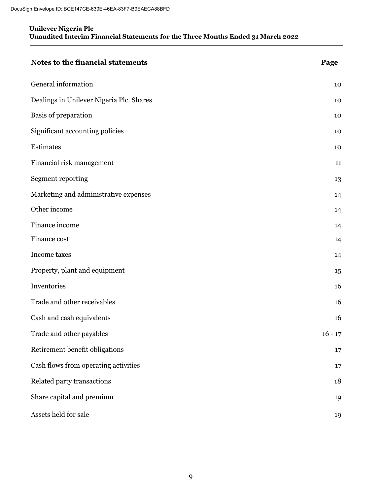| Notes to the financial statements        | Page      |
|------------------------------------------|-----------|
| General information                      | 10        |
| Dealings in Unilever Nigeria Plc. Shares | 10        |
| Basis of preparation                     | 10        |
| Significant accounting policies          | 10        |
| Estimates                                | 10        |
| Financial risk management                | 11        |
| Segment reporting                        | 13        |
| Marketing and administrative expenses    | 14        |
| Other income                             | 14        |
| Finance income                           | 14        |
| Finance cost                             | 14        |
| Income taxes                             | 14        |
| Property, plant and equipment            | 15        |
| Inventories                              | 16        |
| Trade and other receivables              | 16        |
| Cash and cash equivalents                | 16        |
| Trade and other payables                 | $16 - 17$ |
| Retirement benefit obligations           | 17        |
| Cash flows from operating activities     | 17        |
| Related party transactions               | 18        |
| Share capital and premium                | 19        |
| Assets held for sale                     | 19        |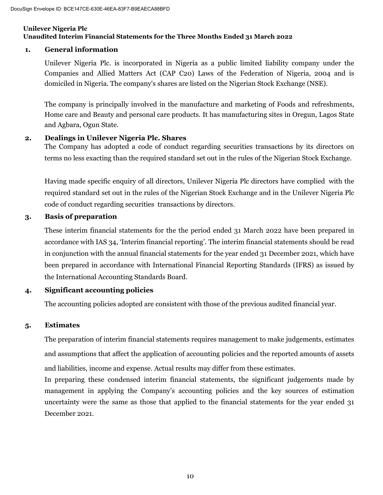# **1. General information**

Unilever Nigeria Plc. is incorporated in Nigeria as a public limited liability company under the Companies and Allied Matters Act (CAP C20) Laws of the Federation of Nigeria, 2004 and is domiciled in Nigeria. The company's shares are listed on the Nigerian Stock Exchange (NSE).

The company is principally involved in the manufacture and marketing of Foods and refreshments, Home care and Beauty and personal care products. It has manufacturing sites in Oregun, Lagos State and Agbara, Ogun State.

## **2. Dealings in Unilever Nigeria Plc. Shares**

The Company has adopted a code of conduct regarding securities transactions by its directors on terms no less exacting than the required standard set out in the rules of the Nigerian Stock Exchange.

Having made specific enquiry of all directors, Unilever Nigeria Plc directors have complied with the required standard set out in the rules of the Nigerian Stock Exchange and in the Unilever Nigeria Plc code of conduct regarding securities transactions by directors.

## **3. Basis of preparation**

These interim financial statements for the the period ended 31 March 2022 have been prepared in accordance with IAS 34, 'Interim financial reporting'. The interim financial statements should be read in conjunction with the annual financial statements for the year ended 31 December 2021, which have been prepared in accordance with International Financial Reporting Standards (IFRS) as issued by the International Accounting Standards Board.

# **4. Significant accounting policies**

The accounting policies adopted are consistent with those of the previous audited financial year.

# **5. Estimates**

The preparation of interim financial statements requires management to make judgements, estimates and assumptions that affect the application of accounting policies and the reported amounts of assets and liabilities, income and expense. Actual results may differ from these estimates.

In preparing these condensed interim financial statements, the significant judgements made by management in applying the Company's accounting policies and the key sources of estimation uncertainty were the same as those that applied to the financial statements for the year ended 31 December 2021.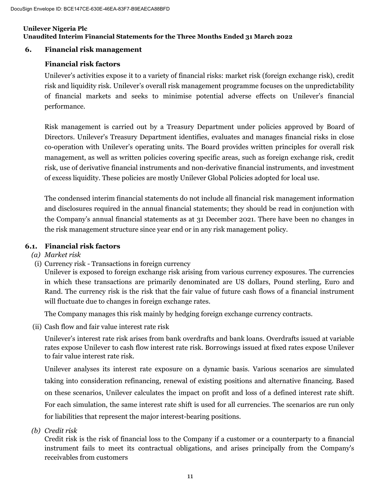## **6. Financial risk management**

# **Financial risk factors**

Unilever's activities expose it to a variety of financial risks: market risk (foreign exchange risk), credit risk and liquidity risk. Unilever's overall risk management programme focuses on the unpredictability of financial markets and seeks to minimise potential adverse effects on Unilever's financial performance.

Risk management is carried out by a Treasury Department under policies approved by Board of Directors. Unilever's Treasury Department identifies, evaluates and manages financial risks in close co-operation with Unilever's operating units. The Board provides written principles for overall risk management, as well as written policies covering specific areas, such as foreign exchange risk, credit risk, use of derivative financial instruments and non-derivative financial instruments, and investment of excess liquidity. These policies are mostly Unilever Global Policies adopted for local use.

The condensed interim financial statements do not include all financial risk management information and disclosures required in the annual financial statements; they should be read in conjunction with the Company's annual financial statements as at 31 December 2021. There have been no changes in the risk management structure since year end or in any risk management policy.

## **6.1. Financial risk factors**

## *(a) Market risk*

(i) Currency risk - Transactions in foreign currency

Unilever is exposed to foreign exchange risk arising from various currency exposures. The currencies in which these transactions are primarily denominated are US dollars, Pound sterling, Euro and Rand. The currency risk is the risk that the fair value of future cash flows of a financial instrument will fluctuate due to changes in foreign exchange rates.

The Company manages this risk mainly by hedging foreign exchange currency contracts.

(ii) Cash flow and fair value interest rate risk

Unilever's interest rate risk arises from bank overdrafts and bank loans. Overdrafts issued at variable rates expose Unilever to cash flow interest rate risk. Borrowings issued at fixed rates expose Unilever to fair value interest rate risk.

Unilever analyses its interest rate exposure on a dynamic basis. Various scenarios are simulated taking into consideration refinancing, renewal of existing positions and alternative financing. Based on these scenarios, Unilever calculates the impact on profit and loss of a defined interest rate shift. For each simulation, the same interest rate shift is used for all currencies. The scenarios are run only for liabilities that represent the major interest-bearing positions.

*(b) Credit risk*

Credit risk is the risk of financial loss to the Company if a customer or a counterparty to a financial instrument fails to meet its contractual obligations, and arises principally from the Company's receivables from customers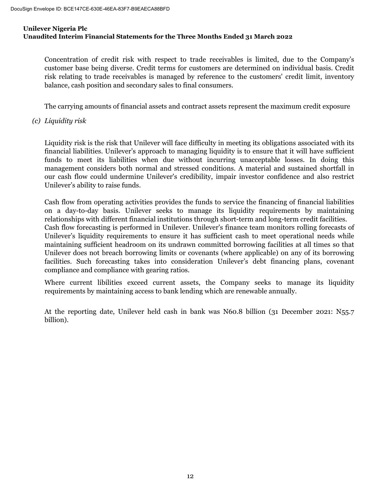Concentration of credit risk with respect to trade receivables is limited, due to the Company's customer base being diverse. Credit terms for customers are determined on individual basis. Credit risk relating to trade receivables is managed by reference to the customers' credit limit, inventory balance, cash position and secondary sales to final consumers.

The carrying amounts of financial assets and contract assets represent the maximum credit exposure

*(c) Liquidity risk*

Liquidity risk is the risk that Unilever will face difficulty in meeting its obligations associated with its financial liabilities. Unilever's approach to managing liquidity is to ensure that it will have sufficient funds to meet its liabilities when due without incurring unacceptable losses. In doing this management considers both normal and stressed conditions. A material and sustained shortfall in our cash flow could undermine Unilever's credibility, impair investor confidence and also restrict Unilever's ability to raise funds.

Cash flow from operating activities provides the funds to service the financing of financial liabilities on a day-to-day basis. Unilever seeks to manage its liquidity requirements by maintaining relationships with different financial institutions through short-term and long-term credit facilities. Cash flow forecasting is performed in Unilever. Unilever's finance team monitors rolling forecasts of Unilever's liquidity requirements to ensure it has sufficient cash to meet operational needs while maintaining sufficient headroom on its undrawn committed borrowing facilities at all times so that Unilever does not breach borrowing limits or covenants (where applicable) on any of its borrowing facilities. Such forecasting takes into consideration Unilever's debt financing plans, covenant compliance and compliance with gearing ratios.

Where current libilities exceed current assets, the Company seeks to manage its liquidity requirements by maintaining access to bank lending which are renewable annually.

At the reporting date, Unilever held cash in bank was N60.8 billion (31 December 2021: N55.7 billion).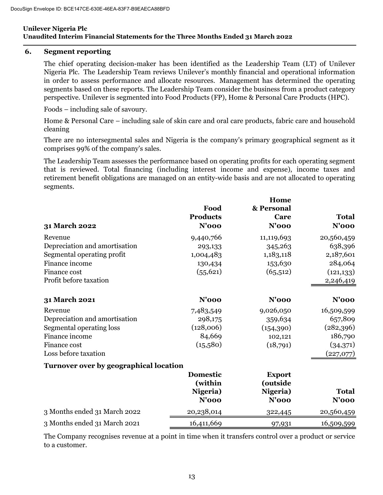#### **6. Segment reporting**

The chief operating decision-maker has been identified as the Leadership Team (LT) of Unilever Nigeria Plc. The Leadership Team reviews Unilever's monthly financial and operational information in order to assess performance and allocate resources. Management has determined the operating segments based on these reports. The Leadership Team consider the business from a product category perspective. Unilever is segmented into Food Products (FP), Home & Personal Care Products (HPC).

Foods – including sale of savoury.

Home & Personal Care – including sale of skin care and oral care products, fabric care and household cleaning

There are no intersegmental sales and Nigeria is the company's primary geographical segment as it comprises 99% of the company's sales.

The Leadership Team assesses the performance based on operating profits for each operating segment that is reviewed. Total financing (including interest income and expense), income taxes and retirement benefit obligations are managed on an entity-wide basis and are not allocated to operating segments.

| Food            | & Personal                                                                                   |                                                        |
|-----------------|----------------------------------------------------------------------------------------------|--------------------------------------------------------|
| <b>Products</b> | Care                                                                                         | <b>Total</b>                                           |
| $N'$ 000        | $N'$ 000                                                                                     | $N'$ 000                                               |
| 9,440,766       | 11,119,693                                                                                   | 20,560,459                                             |
| 293,133         | 345,263                                                                                      | 638,396                                                |
| 1,004,483       | 1,183,118                                                                                    | 2,187,601                                              |
| 130,434         | 153,630                                                                                      | 284,064                                                |
| (55, 621)       | (65,512)                                                                                     | (121, 133)                                             |
|                 |                                                                                              | 2,246,419                                              |
| $N'$ 000        | $N'$ 000                                                                                     | $N'$ 000                                               |
|                 |                                                                                              | 16,509,599                                             |
|                 |                                                                                              | 657,809                                                |
| (128,006)       |                                                                                              | (282,396)                                              |
| 84,669          | 102,121                                                                                      | 186,790                                                |
|                 |                                                                                              | (34,371)                                               |
|                 |                                                                                              | (227,077)                                              |
|                 |                                                                                              |                                                        |
| <b>Domestic</b> | <b>Export</b>                                                                                |                                                        |
|                 | (outside                                                                                     |                                                        |
| Nigeria)        | Nigeria)                                                                                     | <b>Total</b>                                           |
| $N'$ 000        | $N'$ 000                                                                                     | $N'$ 000                                               |
| 20,238,014      | 322,445                                                                                      | 20,560,459                                             |
| 16,411,669      | 97,931                                                                                       | 16,509,599                                             |
|                 | 7,483,549<br>298,175<br>(15,580)<br><b>Turnover over by geographical location</b><br>(within | Home<br>9,026,050<br>359,634<br>(154, 390)<br>(18,791) |

The Company recognises revenue at a point in time when it transfers control over a product or service to a customer.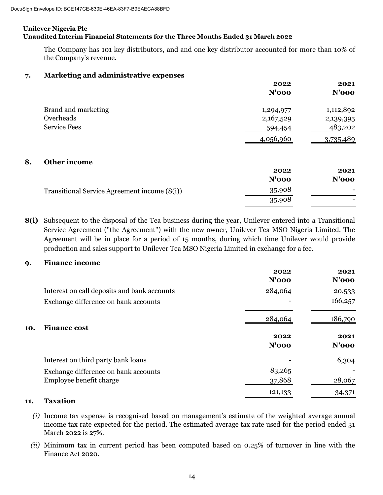The Company has 101 key distributors, and and one key distributor accounted for more than 10% of the Company's revenue.

#### **7. Marketing and administrative expenses**

|    |                                              | 2022<br>$N'$ 000 | 2021<br>$N'$ 000 |
|----|----------------------------------------------|------------------|------------------|
|    | Brand and marketing                          | 1,294,977        | 1,112,892        |
|    | Overheads                                    | 2,167,529        | 2,139,395        |
|    | <b>Service Fees</b>                          | 594,454          | 483,202          |
|    |                                              | 4,056,960        | 3,735,489        |
| 8. | Other income                                 |                  |                  |
|    |                                              | 2022             | 2021             |
|    |                                              | $N'$ 000         | $N'$ 000         |
|    | Transitional Service Agreement income (8(i)) | 35,908           |                  |
|    |                                              | 35,908           |                  |
|    |                                              |                  |                  |

**8(i)** Subsequent to the disposal of the Tea business during the year, Unilever entered into a Transitional Service Agreement ("the Agreement") with the new owner, Unilever Tea MSO Nigeria Limited. The Agreement will be in place for a period of 15 months, during which time Unilever would provide production and sales support to Unilever Tea MSO Nigeria Limited in exchange for a fee.

#### **9. Finance income**

|     |                                             | 2022<br>$N'$ 000 | 2021<br>$N'$ 000 |
|-----|---------------------------------------------|------------------|------------------|
|     | Interest on call deposits and bank accounts | 284,064          | 20,533           |
|     | Exchange difference on bank accounts        |                  | 166,257          |
| 10. | <b>Finance cost</b>                         | 284,064          | 186,790          |
|     |                                             | 2022<br>$N'$ 000 | 2021<br>$N'$ 000 |
|     | Interest on third party bank loans          |                  | 6,304            |
|     | Exchange difference on bank accounts        | 83,265           |                  |
|     | Employee benefit charge                     | 37,868           | 28,067           |
|     |                                             | 121,133          | 34,371           |

#### **11. Taxation**

- *(i)* Income tax expense is recognised based on management's estimate of the weighted average annual income tax rate expected for the period. The estimated average tax rate used for the period ended 31 March 2022 is 27%.
- *(ii)* Minimum tax in current period has been computed based on 0.25% of turnover in line with the Finance Act 2020.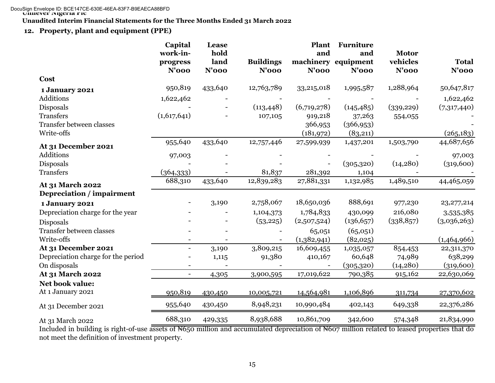**Unaudited Interim Financial Statements for the Three Months Ended 31 March 2022**

# **12. Property, plant and equipment (PPE)**

|                                               | Capital<br>work-in-<br>progress | Lease<br>hold<br>land | <b>Buildings</b> | <b>Plant</b><br>and   | Furniture<br>and<br>machinery equipment | <b>Motor</b><br>vehicles | <b>Total</b> |
|-----------------------------------------------|---------------------------------|-----------------------|------------------|-----------------------|-----------------------------------------|--------------------------|--------------|
|                                               | $N'$ 000                        | $N'$ 000              | $N'$ 000         | $N'$ 000              | $N'$ 000                                | $N'$ 000                 | $N'$ 000     |
| Cost                                          |                                 |                       |                  |                       |                                         |                          |              |
| 1 January 2021                                | 950,819                         | 433,640               | 12,763,789       | 33,215,018            | 1,995,587                               | 1,288,964                | 50,647,817   |
| Additions                                     | 1,622,462                       |                       |                  |                       |                                         |                          | 1,622,462    |
| Disposals                                     |                                 |                       | (113, 448)       | (6,719,278)           | (145, 485)                              | (339, 229)               | (7,317,440)  |
| <b>Transfers</b>                              | (1,617,641)                     |                       | 107,105          | 919,218               | 37,263                                  | 554,055                  |              |
| <b>Transfer between classes</b><br>Write-offs |                                 |                       |                  | 366,953<br>(181, 972) | (366, 953)<br>(83,211)                  |                          | (265, 183)   |
| At 31 December 2021                           | 955,640                         | 433,640               | 12,757,446       | 27,599,939            | 1,437,201                               | 1,503,790                | 44,687,656   |
| <b>Additions</b>                              | 97,003                          |                       |                  |                       |                                         |                          | 97,003       |
| Disposals                                     |                                 |                       |                  |                       | (305, 320)                              | (14, 280)                | (319,600)    |
| <b>Transfers</b>                              | (364, 333)                      |                       | 81,837           | 281,392               | 1,104                                   |                          |              |
| At 31 March 2022                              | 688,310                         | 433,640               | 12,839,283       | 27,881,331            | 1,132,985                               | 1,489,510                | 44,465,059   |
| Depreciation / impairment                     |                                 |                       |                  |                       |                                         |                          |              |
| 1 January 2021                                |                                 | 3,190                 | 2,758,067        | 18,650,036            | 888,691                                 | 977,230                  | 23, 277, 214 |
| Depreciation charge for the year              |                                 |                       | 1,104,373        | 1,784,833             | 430,099                                 | 216,080                  | 3,535,385    |
| <b>Disposals</b>                              |                                 |                       | (53, 225)        | (2,507,524)           | (136, 657)                              | (338, 857)               | (3,036,263)  |
| <b>Transfer between classes</b>               |                                 |                       |                  | 65,051                | (65,051)                                |                          |              |
| Write-offs                                    |                                 |                       |                  | (1,382,941)           | (82,025)                                |                          | (1,464,966)  |
| At 31 December 2021                           |                                 | 3,190                 | 3,809,215        | 16,609,455            | 1,035,057                               | 854,453                  | 22,311,370   |
| Depreciation charge for the period            |                                 | 1,115                 | 91,380           | 410,167               | 60,648                                  | 74,989                   | 638,299      |
| On disposals                                  |                                 |                       |                  |                       | (305, 320)                              | (14, 280)                | (319,600)    |
| At 31 March 2022                              | $\overline{\phantom{0}}$        | 4,305                 | 3,900,595        | 17,019,622            | 790,385                                 | 915,162                  | 22,630,069   |
| Net book value:<br>At 1 January 2021          | 950,819                         |                       |                  |                       |                                         |                          |              |
|                                               |                                 | 430,450               | 10,005,721       | 14,564,981            | 1,106,896                               | 311,734                  | 27,370,602   |
| At 31 December 2021                           | 955,640                         | 430,450               | 8,948,231        | 10,990,484            | 402,143                                 | 649,338                  | 22,376,286   |
| At 31 March 2022                              | 688,310                         | 429,335               | 8,938,688        | 10,861,709            | 342,600                                 | 574,348                  | 21,834,990   |
| .<br>$\cdots$                                 |                                 |                       |                  |                       |                                         |                          |              |

Included in building is right-of-use assets of N650 million and accumulated depreciation of N607 million related to leased properties that do not meet the definition of investment property.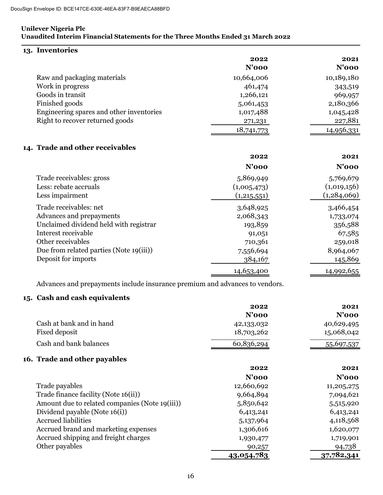| 13. Inventories                                                             |             |                |
|-----------------------------------------------------------------------------|-------------|----------------|
|                                                                             | 2022        | 2021           |
|                                                                             | $N'$ 000    | $N'$ 000       |
| Raw and packaging materials                                                 | 10,664,006  | 10,189,180     |
| Work in progress                                                            | 461,474     | 343,519        |
| Goods in transit                                                            | 1,266,121   | 969,957        |
| Finished goods                                                              | 5,061,453   | 2,180,366      |
| Engineering spares and other inventories                                    | 1,017,488   | 1,045,428      |
| Right to recover returned goods                                             | 271,231     | 227,881        |
|                                                                             | 18,741,773  | 14,956,331     |
| 14. Trade and other receivables                                             |             |                |
|                                                                             | 2022        | 2021           |
|                                                                             | $N'$ 000    | $N'$ 000       |
| Trade receivables: gross                                                    | 5,869,949   | 5,769,679      |
| Less: rebate accruals                                                       | (1,005,473) | (1,019,156)    |
| Less impairment                                                             | (1,215,551) | (1,284,069)    |
| Trade receivables: net                                                      | 3,648,925   | 3,466,454      |
| Advances and prepayments                                                    | 2,068,343   | 1,733,074      |
| Unclaimed dividend held with registrar                                      | 193,859     | 356,588        |
| Interest receivable                                                         | 91,051      | 67,585         |
| Other receivables                                                           | 710,361     | 259,018        |
| Due from related parties (Note 19(iii))                                     | 7,556,694   | 8,964,067      |
| Deposit for imports                                                         | 384,167     | 145,869        |
|                                                                             | 14,653,400  | 14,992,655     |
| Advances and prepayments include insurance premium and advances to vendors. |             |                |
| 15. Cash and cash equivalents                                               |             |                |
|                                                                             | 2022        | 2021           |
|                                                                             | $N'$ 000    | $N'$ 000       |
| Cach at hank and in hand                                                    | 19.199.099  | $10.690$ $105$ |

| Cash at bank and in hand                       | 42,133,032        | 40,629,495 |
|------------------------------------------------|-------------------|------------|
| Fixed deposit                                  | 18,703,262        | 15,068,042 |
| Cash and bank balances                         | 60,836,294        | 55,697,537 |
| 16. Trade and other payables                   |                   |            |
|                                                | 2022              | 2021       |
|                                                | $N'$ 000          | N'ooo      |
| Trade payables                                 | 12,660,692        | 11,205,275 |
| Trade finance facility (Note 16(ii))           | 9,664,894         | 7,094,621  |
| Amount due to related companies (Note 19(iii)) | 5,850,642         | 5,515,920  |
| Dividend payable (Note 16(i))                  | 6,413,241         | 6,413,241  |
| <b>Accrued liabilities</b>                     | 5,137,964         | 4,118,568  |
| Accrued brand and marketing expenses           | 1,306,616         | 1,620,077  |
| Accrued shipping and freight charges           | 1,930,477         | 1,719,901  |
| Other payables                                 | 90,257            | 94,738     |
|                                                | <u>43,054,783</u> | 37,782,341 |
|                                                |                   |            |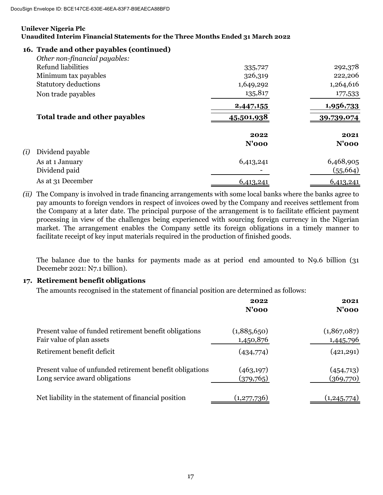## **16. Trade and other payables (continued)**

| Other non-financial payables:  |            |            |
|--------------------------------|------------|------------|
| Refund liabilities             | 335,727    | 292,378    |
| Minimum tax payables           | 326,319    | 222,206    |
| <b>Statutory deductions</b>    | 1,649,292  | 1,264,616  |
| Non trade payables             | 135,817    | 177,533    |
|                                | 2,447,155  | 1,956,733  |
| Total trade and other payables | 45,501,938 | 39,739,074 |
|                                | 2022       | 2021       |
|                                | $N'$ 000   | $N'$ 000   |
| (i)<br>Dividend payable        |            |            |
| As at 1 January                | 6,413,241  | 6,468,905  |
| Dividend paid                  |            | (55, 664)  |
| As at 31 December              | 6,413,241  | 6,413,241  |

*(ii)* The Company is involved in trade financing arrangements with some local banks where the banks agree to pay amounts to foreign vendors in respect of invoices owed by the Company and receives settlement from the Company at a later date. The principal purpose of the arrangement is to facilitate efficient payment processing in view of the challenges being experienced with sourcing foreign currency in the Nigerian market. The arrangement enables the Company settle its foreign obligations in a timely manner to facilitate receipt of key input materials required in the production of finished goods.

The balance due to the banks for payments made as at period end amounted to N9.6 billion (31 Decemebr 2021: N7.1 billion).

## **17. Retirement benefit obligations**

The amounts recognised in the statement of financial position are determined as follows:

|                                                                                            | 2022<br>$N'$ 000         | 2021<br>$N'$ 000         |
|--------------------------------------------------------------------------------------------|--------------------------|--------------------------|
| Present value of funded retirement benefit obligations<br>Fair value of plan assets        | (1,885,650)<br>1,450,876 | (1,867,087)<br>1,445,796 |
| Retirement benefit deficit                                                                 | (434,774)                | (421, 291)               |
| Present value of unfunded retirement benefit obligations<br>Long service award obligations | (463, 197)<br>(379,765)  | (454,713)<br>(369,770)   |
| Net liability in the statement of financial position                                       | (1, 277, 736)            | (1,245,774)              |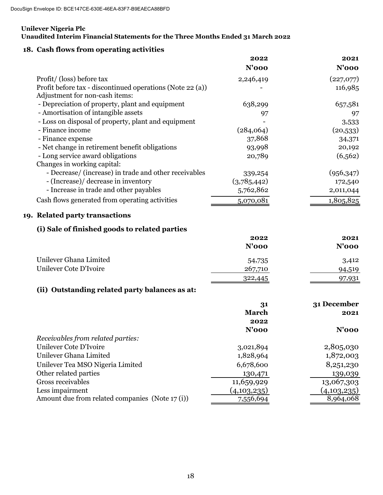#### **Unilever Nigeria Plc**

## **Unaudited Interim Financial Statements for the Three Months Ended 31 March 2022**

# **18. Cash flows from operating activities**

|                                                           | 2022        | 2021       |
|-----------------------------------------------------------|-------------|------------|
|                                                           | $N'$ 000    | $N'$ 000   |
| Profit/ (loss) before tax                                 | 2,246,419   | (227,077)  |
| Profit before tax - discontinued operations (Note 22 (a)) |             | 116,985    |
| Adjustment for non-cash items:                            |             |            |
| - Depreciation of property, plant and equipment           | 638,299     | 657,581    |
| - Amortisation of intangible assets                       | 97          | 97         |
| - Loss on disposal of property, plant and equipment       |             | 3,533      |
| - Finance income                                          | (284,064)   | (20,533)   |
| - Finance expense                                         | 37,868      | 34,371     |
| - Net change in retirement benefit obligations            | 93,998      | 20,192     |
| - Long service award obligations                          | 20,789      | (6, 562)   |
| Changes in working capital:                               |             |            |
| - Decrease/ (increase) in trade and other receivables     | 339,254     | (956, 347) |
| - (Increase)/ decrease in inventory                       | (3,785,442) | 172,540    |
| - Increase in trade and other payables                    | 5,762,862   | 2,011,044  |
| Cash flows generated from operating activities            | 5,070,081   | 1,805,825  |

# **19. Related party transactions**

# **(i) Sale of finished goods to related parties**

|                        | 2022<br>$N'$ 000 | 2021<br>$N'$ 000 |
|------------------------|------------------|------------------|
|                        |                  |                  |
| Unilever Ghana Limited | 54,735           | 3,412            |
| Unilever Cote D'Ivoire | 267,710          | 94,519           |
|                        | 322,445          | 97,931           |

# **(ii) Outstanding related party balances as at:**

|                                                | 31           | 31 December |
|------------------------------------------------|--------------|-------------|
|                                                | <b>March</b> | 2021        |
|                                                | 2022         |             |
|                                                | $N'$ 000     | N'ooo       |
| Receivables from related parties:              |              |             |
| Unilever Cote D'Ivoire                         | 3,021,894    | 2,805,030   |
| Unilever Ghana Limited                         | 1,828,964    | 1,872,003   |
| Unilever Tea MSO Nigeria Limited               | 6,678,600    | 8,251,230   |
| Other related parties                          | 130,471      | 139,039     |
| Gross receivables                              | 11,659,929   | 13,067,303  |
| Less impairment                                | (4,103,235)  | (4,103,235) |
| Amount due from related companies (Note 17(i)) | 7,556,694    | 8,964,068   |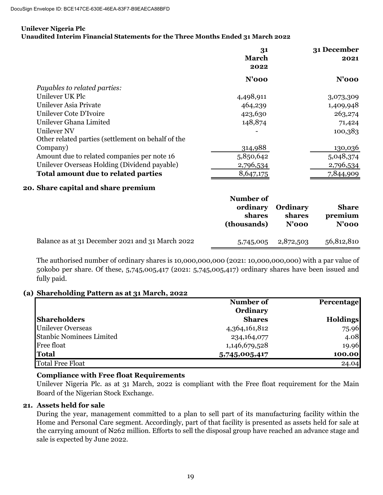#### **Unilever Nigeria Plc**

#### **Unaudited Interim Financial Statements for the Three Months Ended 31 March 2022**

|                                                    | 31           | 31 December |
|----------------------------------------------------|--------------|-------------|
|                                                    | <b>March</b> | 2021        |
|                                                    | 2022         |             |
|                                                    | $N'$ 000     | $N'$ 000    |
| Payables to related parties:                       |              |             |
| Unilever UK Plc                                    | 4,498,911    | 3,073,309   |
| Unilever Asia Private                              | 464,239      | 1,409,948   |
| Unilever Cote D'Ivoire                             | 423,630      | 263,274     |
| Unilever Ghana Limited                             | 148,874      | 71,424      |
| Unilever NV                                        |              | 100,383     |
| Other related parties (settlement on behalf of the |              |             |
| Company)                                           | 314,988      | 130,036     |
| Amount due to related companies per note 16        | 5,850,642    | 5,048,374   |
| Unilever Overseas Holding (Dividend payable)       | 2,796,534    | 2,796,534   |
| Total amount due to related parties                | 8,647,175    | 7,844,909   |
|                                                    |              |             |

#### **20. Share capital and share premium**

|                                                  | Number of<br>ordinary<br>shares<br>(thousands) | <b>Ordinary</b><br>shares<br>$N'$ 000 | <b>Share</b><br>premium<br>$N'$ 000 |
|--------------------------------------------------|------------------------------------------------|---------------------------------------|-------------------------------------|
| Balance as at 31 December 2021 and 31 March 2022 | 5,745,005                                      | 2,872,503                             | 56,812,810                          |

The authorised number of ordinary shares is 10,000,000,000 (2021: 10,000,000,000) with a par value of 50kobo per share. Of these, 5,745,005,417 (2021: 5,745,005,417) ordinary shares have been issued and fully paid.

## **(a) Shareholding Pattern as at 31 March, 2022**

|                                 | Number of     | <b>Percentage</b> |
|---------------------------------|---------------|-------------------|
|                                 | Ordinary      |                   |
| <b>Shareholders</b>             | <b>Shares</b> | <b>Holdings</b>   |
| <b>Unilever Overseas</b>        | 4,364,161,812 | 75.96             |
| <b>Stanbic Nominees Limited</b> | 234, 164, 077 | 4.08              |
| <b>Free float</b>               | 1,146,679,528 | 19.96             |
| <b>Total</b>                    | 5,745,005,417 | 100.00            |
| <b>Total Free Float</b>         |               | 24.04             |

## **Compliance with Free float Requirements**

Unilever Nigeria Plc. as at 31 March, 2022 is compliant with the Free float requirement for the Main Board of the Nigerian Stock Exchange.

## **21. Assets held for sale**

During the year, management committed to a plan to sell part of its manufacturing facility within the Home and Personal Care segment. Accordingly, part of that facility is presented as assets held for sale at the carrying amount of N262 million. Efforts to sell the disposal group have reached an advance stage and sale is expected by June 2022.